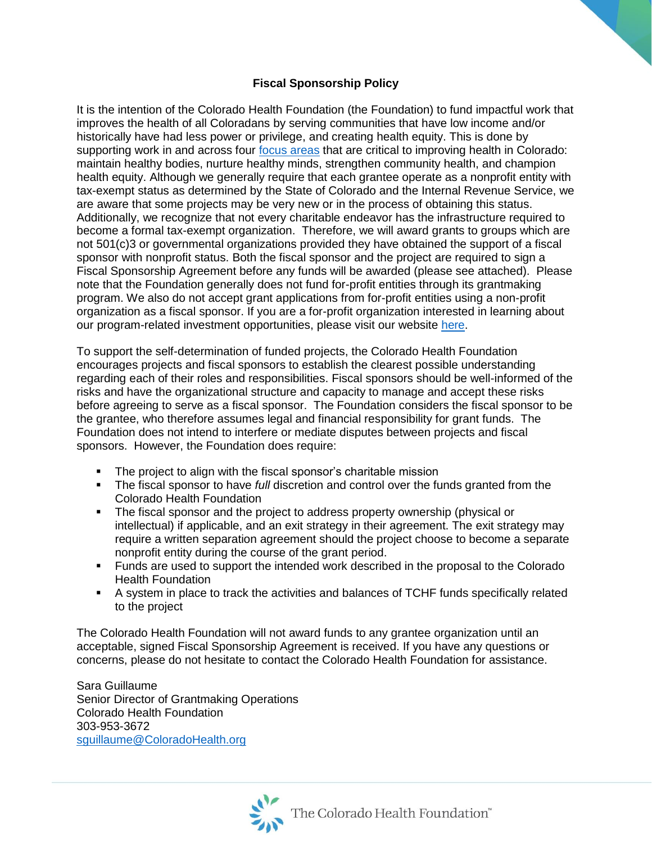## **Fiscal Sponsorship Policy**

It is the intention of the Colorado Health Foundation (the Foundation) to fund impactful work that improves the health of all Coloradans by serving communities that have low income and/or historically have had less power or privilege, and creating health equity. This is done by supporting work in and across four [focus areas](https://coloradohealth.org/focus-areas) that are critical to improving health in Colorado: maintain healthy bodies, nurture healthy minds, strengthen community health, and champion health equity. Although we generally require that each grantee operate as a nonprofit entity with tax-exempt status as determined by the State of Colorado and the Internal Revenue Service, we are aware that some projects may be very new or in the process of obtaining this status. Additionally, we recognize that not every charitable endeavor has the infrastructure required to become a formal tax-exempt organization. Therefore, we will award grants to groups which are not 501(c)3 or governmental organizations provided they have obtained the support of a fiscal sponsor with nonprofit status. Both the fiscal sponsor and the project are required to sign a Fiscal Sponsorship Agreement before any funds will be awarded (please see attached). Please note that the Foundation generally does not fund for-profit entities through its grantmaking program. We also do not accept grant applications from for-profit entities using a non-profit organization as a fiscal sponsor. If you are a for-profit organization interested in learning about our program-related investment opportunities, please visit our website [here.](https://coloradohealth.org/funding/program-related-investments)

To support the self-determination of funded projects, the Colorado Health Foundation encourages projects and fiscal sponsors to establish the clearest possible understanding regarding each of their roles and responsibilities. Fiscal sponsors should be well-informed of the risks and have the organizational structure and capacity to manage and accept these risks before agreeing to serve as a fiscal sponsor. The Foundation considers the fiscal sponsor to be the grantee, who therefore assumes legal and financial responsibility for grant funds. The Foundation does not intend to interfere or mediate disputes between projects and fiscal sponsors. However, the Foundation does require:

- **The project to align with the fiscal sponsor's charitable mission**
- The fiscal sponsor to have *full* discretion and control over the funds granted from the Colorado Health Foundation
- The fiscal sponsor and the project to address property ownership (physical or intellectual) if applicable, and an exit strategy in their agreement. The exit strategy may require a written separation agreement should the project choose to become a separate nonprofit entity during the course of the grant period.
- Funds are used to support the intended work described in the proposal to the Colorado Health Foundation
- A system in place to track the activities and balances of TCHF funds specifically related to the project

The Colorado Health Foundation will not award funds to any grantee organization until an acceptable, signed Fiscal Sponsorship Agreement is received. If you have any questions or concerns, please do not hesitate to contact the Colorado Health Foundation for assistance.

Sara Guillaume Senior Director of Grantmaking Operations Colorado Health Foundation 303-953-3672 [sguillaume@ColoradoHealth.org](mailto:sguillaume@ColoradoHealth.org)

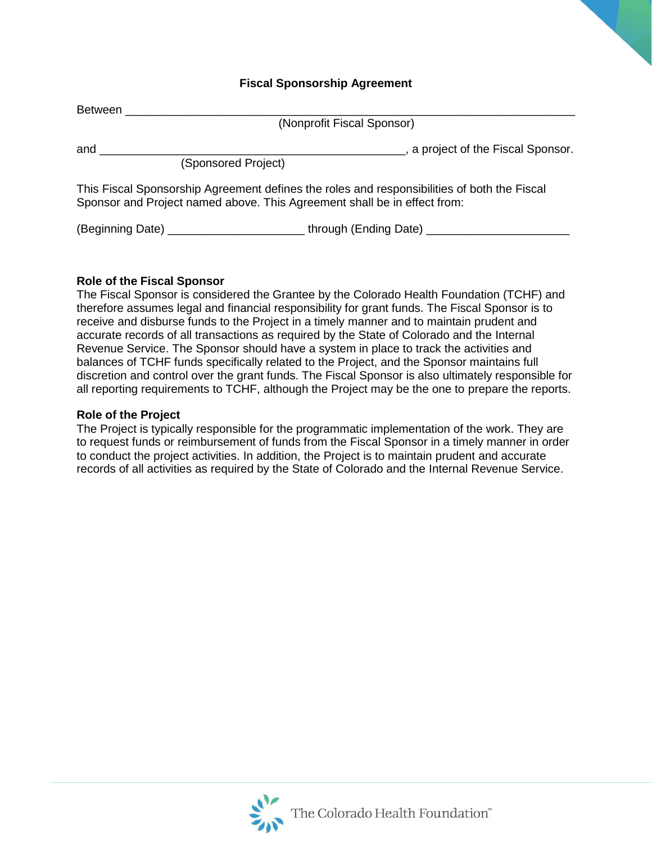## **Fiscal Sponsorship Agreement**

| Between |                                                                                                                                                                         |  |
|---------|-------------------------------------------------------------------------------------------------------------------------------------------------------------------------|--|
|         | (Nonprofit Fiscal Sponsor)                                                                                                                                              |  |
| and     | , a project of the Fiscal Sponsor.<br>(Sponsored Project)                                                                                                               |  |
|         | This Fiscal Sponsorship Agreement defines the roles and responsibilities of both the Fiscal<br>Sponsor and Project named above. This Agreement shall be in effect from: |  |
|         |                                                                                                                                                                         |  |

## **Role of the Fiscal Sponsor**

The Fiscal Sponsor is considered the Grantee by the Colorado Health Foundation (TCHF) and therefore assumes legal and financial responsibility for grant funds. The Fiscal Sponsor is to receive and disburse funds to the Project in a timely manner and to maintain prudent and accurate records of all transactions as required by the State of Colorado and the Internal Revenue Service. The Sponsor should have a system in place to track the activities and balances of TCHF funds specifically related to the Project, and the Sponsor maintains full discretion and control over the grant funds. The Fiscal Sponsor is also ultimately responsible for all reporting requirements to TCHF, although the Project may be the one to prepare the reports.

## **Role of the Project**

The Project is typically responsible for the programmatic implementation of the work. They are to request funds or reimbursement of funds from the Fiscal Sponsor in a timely manner in order to conduct the project activities. In addition, the Project is to maintain prudent and accurate records of all activities as required by the State of Colorado and the Internal Revenue Service.